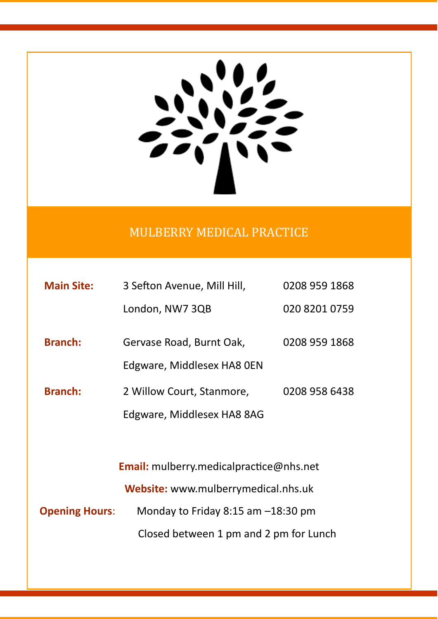### MULBERRY MEDICAL PRACTICE

| <b>Main Site:</b> | 3 Sefton Avenue, Mill Hill,                    | 0208 959 1868 |  |  |
|-------------------|------------------------------------------------|---------------|--|--|
|                   | London, NW7 3QB                                | 020 8201 0759 |  |  |
| <b>Branch:</b>    | Gervase Road, Burnt Oak,                       | 0208 959 1868 |  |  |
|                   | Edgware, Middlesex HA8 OEN                     |               |  |  |
| <b>Branch:</b>    | 2 Willow Court, Stanmore,                      | 0208 958 6438 |  |  |
|                   | Edgware, Middlesex HA8 8AG                     |               |  |  |
|                   |                                                |               |  |  |
|                   | <b>Email:</b> mulberry.medicalpractice@nhs.net |               |  |  |
|                   | Website: www.mulberrymedical.nhs.uk            |               |  |  |

**Opening Hours**: Monday to Friday 8:15 am –18:30 pm Closed between 1 pm and 2 pm for Lunch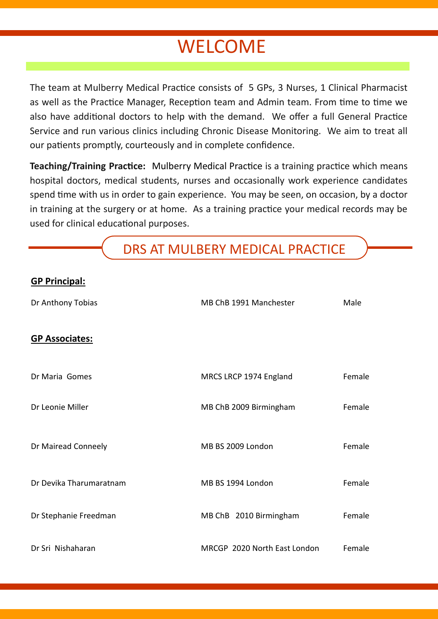## **WELCOME**

The team at Mulberry Medical Practice consists of 5 GPs, 3 Nurses, 1 Clinical Pharmacist as well as the Practice Manager, Reception team and Admin team. From time to time we also have additional doctors to help with the demand. We offer a full General Practice Service and run various clinics including Chronic Disease Monitoring. We aim to treat all our patients promptly, courteously and in complete confidence.

**Teaching/Training Practice:** Mulberry Medical Practice is a training practice which means hospital doctors, medical students, nurses and occasionally work experience candidates spend time with us in order to gain experience. You may be seen, on occasion, by a doctor in training at the surgery or at home. As a training practice your medical records may be used for clinical educational purposes.

DRS AT MULBERY MEDICAL PRACTICE

#### **GP Principal:**

| Dr Anthony Tobias       | MB ChB 1991 Manchester       | Male   |
|-------------------------|------------------------------|--------|
| <b>GP Associates:</b>   |                              |        |
| Dr Maria Gomes          | MRCS LRCP 1974 England       | Female |
| Dr Leonie Miller        | MB ChB 2009 Birmingham       | Female |
| Dr Mairead Conneely     | MB BS 2009 London            | Female |
| Dr Devika Tharumaratnam | MB BS 1994 London            | Female |
| Dr Stephanie Freedman   | MB ChB 2010 Birmingham       | Female |
| Dr Sri Nishaharan       | MRCGP 2020 North East London | Female |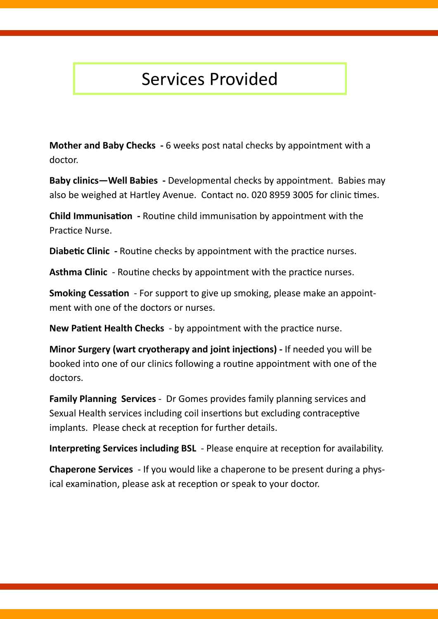### Services Provided

**Mother and Baby Checks -** 6 weeks post natal checks by appointment with a doctor.

**Baby clinics—Well Babies -** Developmental checks by appointment. Babies may also be weighed at Hartley Avenue. Contact no. 020 8959 3005 for clinic times.

**Child Immunisation -** Routine child immunisation by appointment with the Practice Nurse.

**Diabetic Clinic -** Routine checks by appointment with the practice nurses.

**Asthma Clinic** - Routine checks by appointment with the practice nurses.

**Smoking Cessation** - For support to give up smoking, please make an appointment with one of the doctors or nurses.

**New Patient Health Checks** - by appointment with the practice nurse.

**Minor Surgery (wart cryotherapy and joint injections) -** If needed you will be booked into one of our clinics following a routine appointment with one of the doctors.

**Family Planning Services** - Dr Gomes provides family planning services and Sexual Health services including coil insertions but excluding contraceptive implants. Please check at reception for further details.

**Interpreting Services including BSL** - Please enquire at reception for availability.

**Chaperone Services** - If you would like a chaperone to be present during a physical examination, please ask at reception or speak to your doctor.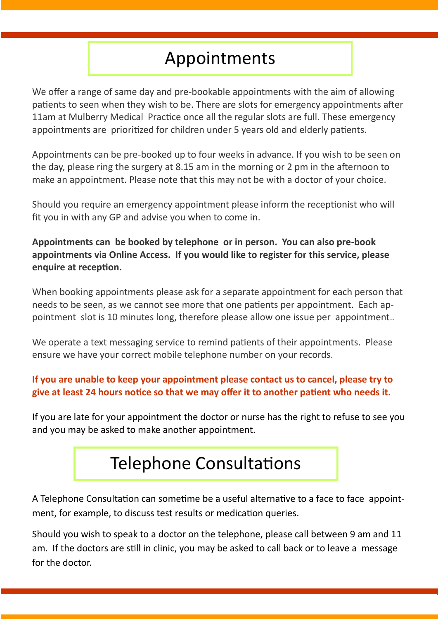### Appointments

We offer a range of same day and pre-bookable appointments with the aim of allowing patients to seen when they wish to be. There are slots for emergency appointments after 11am at Mulberry Medical Practice once all the regular slots are full. These emergency appointments are prioritized for children under 5 years old and elderly patients.

Appointments can be pre-booked up to four weeks in advance. If you wish to be seen on the day, please ring the surgery at 8.15 am in the morning or 2 pm in the afternoon to make an appointment. Please note that this may not be with a doctor of your choice.

Should you require an emergency appointment please inform the receptionist who will fit you in with any GP and advise you when to come in.

**Appointments can be booked by telephone or in person. You can also pre-book appointments via Online Access. If you would like to register for this service, please enquire at reception.**

When booking appointments please ask for a separate appointment for each person that needs to be seen, as we cannot see more that one patients per appointment. Each appointment slot is 10 minutes long, therefore please allow one issue per appointment..

We operate a text messaging service to remind patients of their appointments. Please ensure we have your correct mobile telephone number on your records.

#### **If you are unable to keep your appointment please contact us to cancel, please try to give at least 24 hours notice so that we may offer it to another patient who needs it.**

If you are late for your appointment the doctor or nurse has the right to refuse to see you and you may be asked to make another appointment.

# Telephone Consultations

A Telephone Consultation can sometime be a useful alternative to a face to face appointment, for example, to discuss test results or medication queries.

Should you wish to speak to a doctor on the telephone, please call between 9 am and 11 am. If the doctors are still in clinic, you may be asked to call back or to leave a message for the doctor.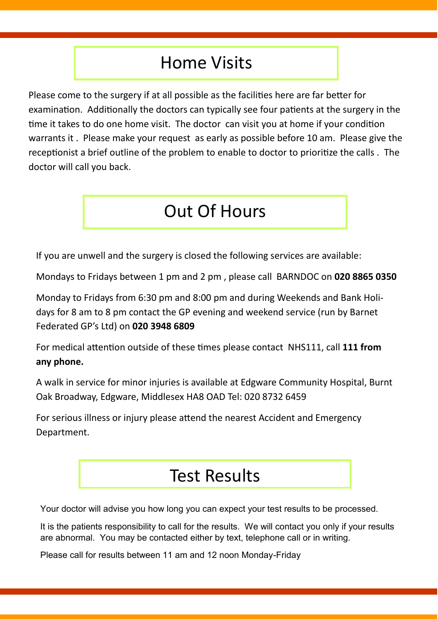### Home Visits

Please come to the surgery if at all possible as the facilities here are far better for examination. Additionally the doctors can typically see four patients at the surgery in the time it takes to do one home visit. The doctor can visit you at home if your condition warrants it . Please make your request as early as possible before 10 am. Please give the receptionist a brief outline of the problem to enable to doctor to prioritize the calls . The doctor will call you back.

## Out Of Hours

If you are unwell and the surgery is closed the following services are available:

Mondays to Fridays between 1 pm and 2 pm , please call BARNDOC on **020 8865 0350**

Monday to Fridays from 6:30 pm and 8:00 pm and during Weekends and Bank Holidays for 8 am to 8 pm contact the GP evening and weekend service (run by Barnet Federated GP's Ltd) on **020 3948 6809**

For medical attention outside of these times please contact NHS111, call **111 from any phone.**

A walk in service for minor injuries is available at Edgware Community Hospital, Burnt Oak Broadway, Edgware, Middlesex HA8 OAD Tel: 020 8732 6459

For serious illness or injury please attend the nearest Accident and Emergency Department.

### Test Results

Your doctor will advise you how long you can expect your test results to be processed.

It is the patients responsibility to call for the results. We will contact you only if your results are abnormal. You may be contacted either by text, telephone call or in writing.

Please call for results between 11 am and 12 noon Monday-Friday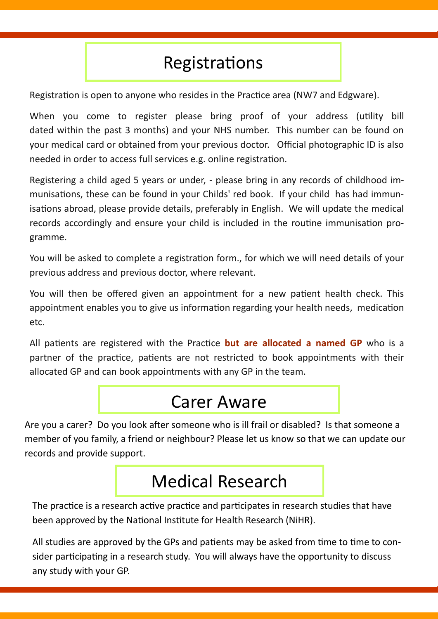## Registrations

Registration is open to anyone who resides in the Practice area (NW7 and Edgware).

When you come to register please bring proof of your address (utility bill dated within the past 3 months) and your NHS number. This number can be found on your medical card or obtained from your previous doctor. Official photographic ID is also needed in order to access full services e.g. online registration.

Registering a child aged 5 years or under, - please bring in any records of childhood immunisations, these can be found in your Childs' red book. If your child has had immunisations abroad, please provide details, preferably in English. We will update the medical records accordingly and ensure your child is included in the routine immunisation programme.

You will be asked to complete a registration form., for which we will need details of your previous address and previous doctor, where relevant.

You will then be offered given an appointment for a new patient health check. This appointment enables you to give us information regarding your health needs, medication etc.

All patients are registered with the Practice **but are allocated a named GP** who is a partner of the practice, patients are not restricted to book appointments with their allocated GP and can book appointments with any GP in the team.

### Carer Aware

Are you a carer? Do you look after someone who is ill frail or disabled? Is that someone a member of you family, a friend or neighbour? Please let us know so that we can update our records and provide support.

## Medical Research

The practice is a research active practice and participates in research studies that have been approved by the National Institute for Health Research (NiHR).

All studies are approved by the GPs and patients may be asked from time to time to consider participating in a research study. You will always have the opportunity to discuss any study with your GP.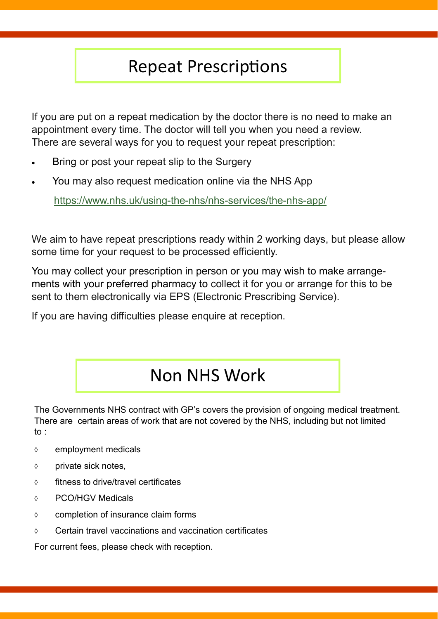### Repeat Prescriptions

If you are put on a repeat medication by the doctor there is no need to make an appointment every time. The doctor will tell you when you need a review. There are several ways for you to request your repeat prescription:

- Bring or post your repeat slip to the Surgery
- You may also request medication online via the NHS App

[https://www.nhs.uk/using](https://www.nhs.uk/using-the-nhs/nhs-services/the-nhs-app/)-the-nhs/nhs-services/the-nhs-app/

We aim to have repeat prescriptions ready within 2 working days, but please allow some time for your request to be processed efficiently.

You may collect your prescription in person or you may wish to make arrangements with your preferred pharmacy to collect it for you or arrange for this to be sent to them electronically via EPS (Electronic Prescribing Service).

If you are having difficulties please enquire at reception.

### Non NHS Work

The Governments NHS contract with GP's covers the provision of ongoing medical treatment. There are certain areas of work that are not covered by the NHS, including but not limited to :

- $\diamond$  employment medicals
- $\diamond$  private sick notes,
- $\diamond$  fitness to drive/travel certificates
- PCO/HGV Medicals
- $\diamond$  completion of insurance claim forms
- $\Diamond$  Certain travel vaccinations and vaccination certificates

For current fees, please check with reception.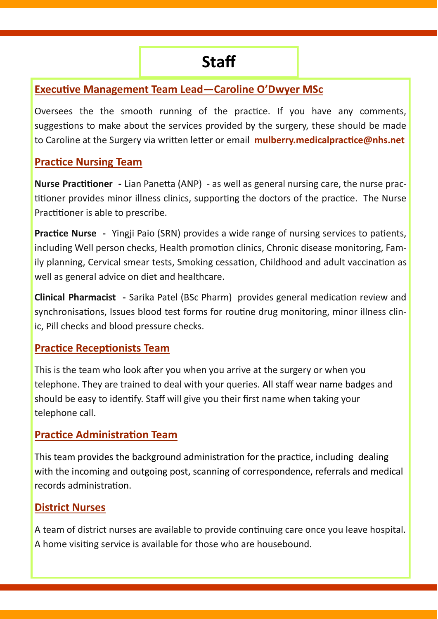#### **Executive Management Team Lead—Caroline O'Dwyer MSc**

Oversees the the smooth running of the practice. If you have any comments, suggestions to make about the services provided by the surgery, these should be made to Caroline at the Surgery via written letter or email **mulberry.medicalpractice@nhs.net**

#### **Practice Nursing Team**

**Nurse Practitioner -** Lian Panetta (ANP) - as well as general nursing care, the nurse practitioner provides minor illness clinics, supporting the doctors of the practice. The Nurse Practitioner is able to prescribe.

**Practice Nurse -** Yingji Paio (SRN) provides a wide range of nursing services to patients, including Well person checks, Health promotion clinics, Chronic disease monitoring, Family planning, Cervical smear tests, Smoking cessation, Childhood and adult vaccination as well as general advice on diet and healthcare.

**Clinical Pharmacist -** Sarika Patel (BSc Pharm) provides general medication review and synchronisations, Issues blood test forms for routine drug monitoring, minor illness clinic, Pill checks and blood pressure checks.

#### **Practice Receptionists Team**

This is the team who look after you when you arrive at the surgery or when you telephone. They are trained to deal with your queries. All staff wear name badges and should be easy to identify. Staff will give you their first name when taking your telephone call.

#### **Practice Administration Team**

This team provides the background administration for the practice, including dealing with the incoming and outgoing post, scanning of correspondence, referrals and medical records administration.

#### **District Nurses**

A team of district nurses are available to provide continuing care once you leave hospital. A home visiting service is available for those who are housebound.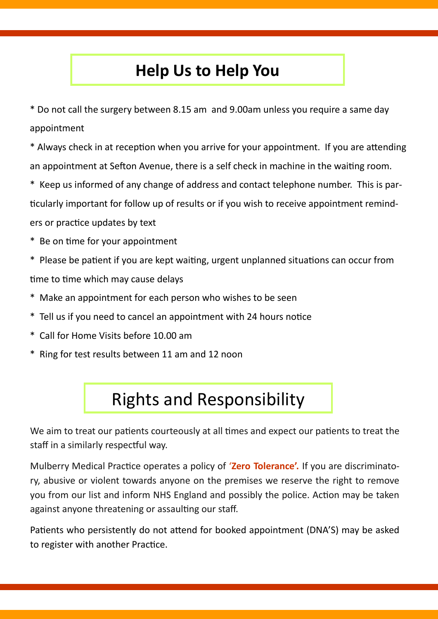### **Help Us to Help You**

\* Do not call the surgery between 8.15 am and 9.00am unless you require a same day appointment

\* Always check in at reception when you arrive for your appointment. If you are attending an appointment at Sefton Avenue, there is a self check in machine in the waiting room.

- \* Keep us informed of any change of address and contact telephone number. This is particularly important for follow up of results or if you wish to receive appointment reminders or practice updates by text
- \* Be on time for your appointment
- \* Please be patient if you are kept waiting, urgent unplanned situations can occur from time to time which may cause delays
- \* Make an appointment for each person who wishes to be seen
- \* Tell us if you need to cancel an appointment with 24 hours notice
- \* Call for Home Visits before 10.00 am
- \* Ring for test results between 11 am and 12 noon

# Rights and Responsibility

We aim to treat our patients courteously at all times and expect our patients to treat the staff in a similarly respectful way.

Mulberry Medical Practice operates a policy of '**Zero Tolerance'.** If you are discriminatory, abusive or violent towards anyone on the premises we reserve the right to remove you from our list and inform NHS England and possibly the police. Action may be taken against anyone threatening or assaulting our staff.

Patients who persistently do not attend for booked appointment (DNA'S) may be asked to register with another Practice.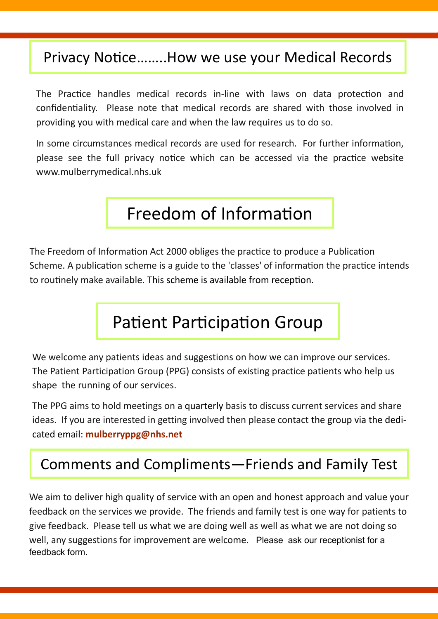### Privacy Notice……..How we use your Medical Records

The Practice handles medical records in-line with laws on data protection and confidentiality. Please note that medical records are shared with those involved in providing you with medical care and when the law requires us to do so.

In some circumstances medical records are used for research. For further information, please see the full privacy notice which can be accessed via the practice website www.mulberrymedical.nhs.uk

### Freedom of Information

The Freedom of Information Act 2000 obliges the practice to produce a Publication Scheme. A publication scheme is a guide to the 'classes' of information the practice intends to routinely make available. This scheme is available from reception.

### Patient Participation Group

We welcome any patients ideas and suggestions on how we can improve our services. The Patient Participation Group (PPG) consists of existing practice patients who help us shape the running of our services.

The PPG aims to hold meetings on a quarterly basis to discuss current services and share ideas. If you are interested in getting involved then please contact the group via the dedicated email: **mulberryppg@nhs.net**

### Comments and Compliments—Friends and Family Test

We aim to deliver high quality of service with an open and honest approach and value your feedback on the services we provide. The friends and family test is one way for patients to give feedback. Please tell us what we are doing well as well as what we are not doing so well, any suggestions for improvement are welcome. Please ask our receptionist for a feedback form.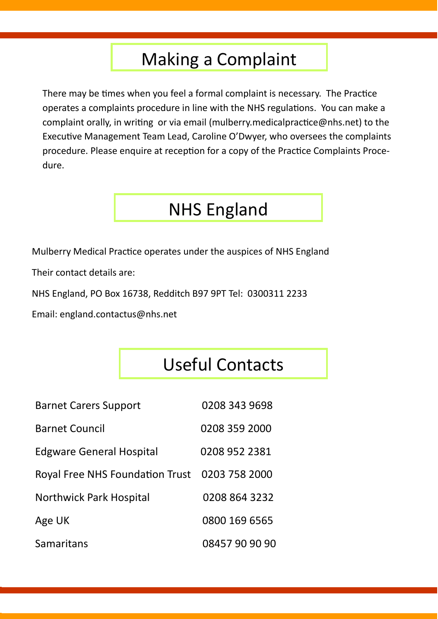### Making a Complaint

There may be times when you feel a formal complaint is necessary. The Practice operates a complaints procedure in line with the NHS regulations. You can make a complaint orally, in writing or via email (mulberry.medicalpractice@nhs.net) to the Executive Management Team Lead, Caroline O'Dwyer, who oversees the complaints procedure. Please enquire at reception for a copy of the Practice Complaints Procedure.

## NHS England

Mulberry Medical Practice operates under the auspices of NHS England

Their contact details are:

NHS England, PO Box 16738, Redditch B97 9PT Tel: 0300311 2233

Email: england.contactus@nhs.net

## Useful Contacts

| <b>Barnet Carers Support</b>                  | 0208 343 9698  |
|-----------------------------------------------|----------------|
| <b>Barnet Council</b>                         | 0208 359 2000  |
| <b>Edgware General Hospital</b>               | 0208 952 2381  |
| Royal Free NHS Foundation Trust 0203 758 2000 |                |
| <b>Northwick Park Hospital</b>                | 0208 864 3232  |
| Age UK                                        | 0800 169 6565  |
| Samaritans                                    | 08457 90 90 90 |